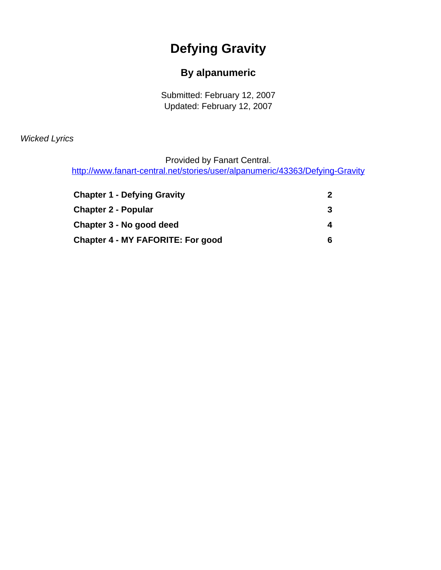# **Defying Gravity**

### **By alpanumeric**

Submitted: February 12, 2007 Updated: February 12, 2007

<span id="page-0-0"></span>Wicked Lyrics

Provided by Fanart Central.

[http://www.fanart-central.net/stories/user/alpanumeric/43363/Defying-Gravity](#page-0-0)

| <b>Chapter 1 - Defying Gravity</b>       | 2 |
|------------------------------------------|---|
| <b>Chapter 2 - Popular</b>               | 3 |
| Chapter 3 - No good deed                 | 4 |
| <b>Chapter 4 - MY FAFORITE: For good</b> | 6 |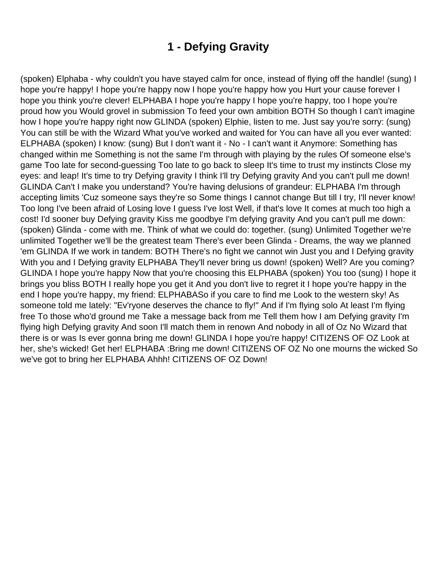## **1 - Defying Gravity**

<span id="page-1-0"></span>(spoken) Elphaba - why couldn't you have stayed calm for once, instead of flying off the handle! (sung) I hope you're happy! I hope you're happy now I hope you're happy how you Hurt your cause forever I hope you think you're clever! ELPHABA I hope you're happy I hope you're happy, too I hope you're proud how you Would grovel in submission To feed your own ambition BOTH So though I can't imagine how I hope you're happy right now GLINDA (spoken) Elphie, listen to me. Just say you're sorry: (sung) You can still be with the Wizard What you've worked and waited for You can have all you ever wanted: ELPHABA (spoken) I know: (sung) But I don't want it - No - I can't want it Anymore: Something has changed within me Something is not the same I'm through with playing by the rules Of someone else's game Too late for second-guessing Too late to go back to sleep It's time to trust my instincts Close my eyes: and leap! It's time to try Defying gravity I think I'll try Defying gravity And you can't pull me down! GLINDA Can't I make you understand? You're having delusions of grandeur: ELPHABA I'm through accepting limits 'Cuz someone says they're so Some things I cannot change But till I try, I'll never know! Too long I've been afraid of Losing love I guess I've lost Well, if that's love It comes at much too high a cost! I'd sooner buy Defying gravity Kiss me goodbye I'm defying gravity And you can't pull me down: (spoken) Glinda - come with me. Think of what we could do: together. (sung) Unlimited Together we're unlimited Together we'll be the greatest team There's ever been Glinda - Dreams, the way we planned 'em GLINDA If we work in tandem: BOTH There's no fight we cannot win Just you and I Defying gravity With you and I Defying gravity ELPHABA They'll never bring us down! (spoken) Well? Are you coming? GLINDA I hope you're happy Now that you're choosing this ELPHABA (spoken) You too (sung) I hope it brings you bliss BOTH I really hope you get it And you don't live to regret it I hope you're happy in the end I hope you're happy, my friend: ELPHABASo if you care to find me Look to the western sky! As someone told me lately: "Ev'ryone deserves the chance to fly!" And if I'm flying solo At least I'm flying free To those who'd ground me Take a message back from me Tell them how I am Defying gravity I'm flying high Defying gravity And soon I'll match them in renown And nobody in all of Oz No Wizard that there is or was Is ever gonna bring me down! GLINDA I hope you're happy! CITIZENS OF OZ Look at her, she's wicked! Get her! ELPHABA :Bring me down! CITIZENS OF OZ No one mourns the wicked So we've got to bring her ELPHABA Ahhh! CITIZENS OF OZ Down!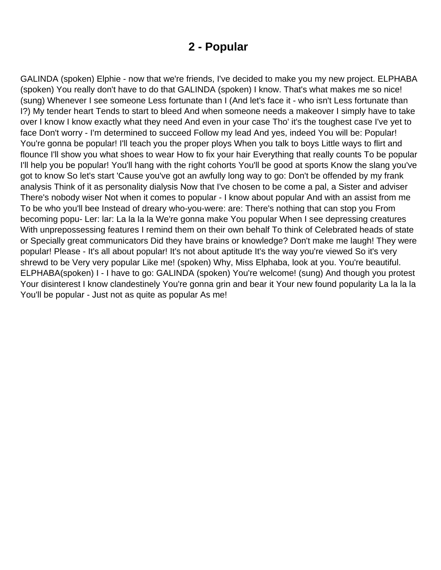### **2 - Popular**

<span id="page-2-0"></span>GALINDA (spoken) Elphie - now that we're friends, I've decided to make you my new project. ELPHABA (spoken) You really don't have to do that GALINDA (spoken) I know. That's what makes me so nice! (sung) Whenever I see someone Less fortunate than I (And let's face it - who isn't Less fortunate than I?) My tender heart Tends to start to bleed And when someone needs a makeover I simply have to take over I know I know exactly what they need And even in your case Tho' it's the toughest case I've yet to face Don't worry - I'm determined to succeed Follow my lead And yes, indeed You will be: Popular! You're gonna be popular! I'll teach you the proper ploys When you talk to boys Little ways to flirt and flounce I'll show you what shoes to wear How to fix your hair Everything that really counts To be popular I'll help you be popular! You'll hang with the right cohorts You'll be good at sports Know the slang you've got to know So let's start 'Cause you've got an awfully long way to go: Don't be offended by my frank analysis Think of it as personality dialysis Now that I've chosen to be come a pal, a Sister and adviser There's nobody wiser Not when it comes to popular - I know about popular And with an assist from me To be who you'll bee Instead of dreary who-you-were: are: There's nothing that can stop you From becoming popu- Ler: lar: La la la la We're gonna make You popular When I see depressing creatures With unprepossessing features I remind them on their own behalf To think of Celebrated heads of state or Specially great communicators Did they have brains or knowledge? Don't make me laugh! They were popular! Please - It's all about popular! It's not about aptitude It's the way you're viewed So it's very shrewd to be Very very popular Like me! (spoken) Why, Miss Elphaba, look at you. You're beautiful. ELPHABA(spoken) I - I have to go: GALINDA (spoken) You're welcome! (sung) And though you protest Your disinterest I know clandestinely You're gonna grin and bear it Your new found popularity La la la la You'll be popular - Just not as quite as popular As me!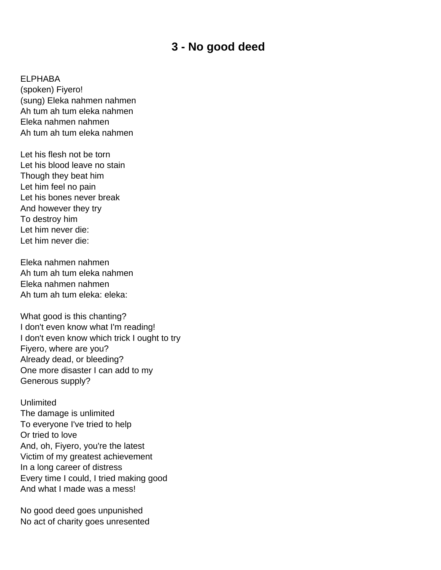#### **3 - No good deed**

<span id="page-3-0"></span>ELPHABA

(spoken) Fiyero! (sung) Eleka nahmen nahmen Ah tum ah tum eleka nahmen Eleka nahmen nahmen Ah tum ah tum eleka nahmen

Let his flesh not be torn Let his blood leave no stain Though they beat him Let him feel no pain Let his bones never break And however they try To destroy him Let him never die: Let him never die:

Eleka nahmen nahmen Ah tum ah tum eleka nahmen Eleka nahmen nahmen Ah tum ah tum eleka: eleka:

What good is this chanting? I don't even know what I'm reading! I don't even know which trick I ought to try Fiyero, where are you? Already dead, or bleeding? One more disaster I can add to my Generous supply?

Unlimited The damage is unlimited To everyone I've tried to help Or tried to love And, oh, Fiyero, you're the latest Victim of my greatest achievement In a long career of distress Every time I could, I tried making good And what I made was a mess!

No good deed goes unpunished No act of charity goes unresented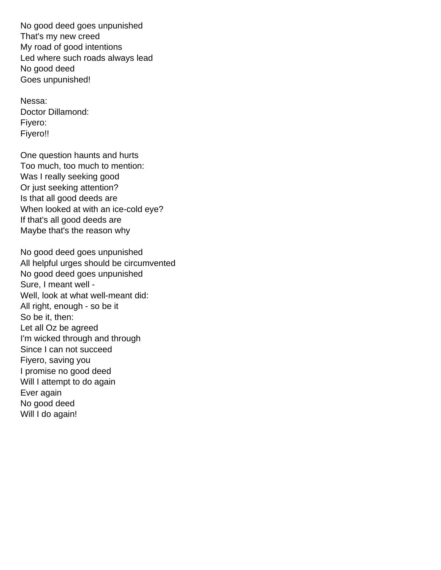No good deed goes unpunished That's my new creed My road of good intentions Led where such roads always lead No good deed Goes unpunished!

Nessa: Doctor Dillamond: Fiyero: Fiyero!!

One question haunts and hurts Too much, too much to mention: Was I really seeking good Or just seeking attention? Is that all good deeds are When looked at with an ice-cold eye? If that's all good deeds are Maybe that's the reason why

No good deed goes unpunished All helpful urges should be circumvented No good deed goes unpunished Sure, I meant well - Well, look at what well-meant did: All right, enough - so be it So be it, then: Let all Oz be agreed I'm wicked through and through Since I can not succeed Fiyero, saving you I promise no good deed Will I attempt to do again Ever again No good deed Will I do again!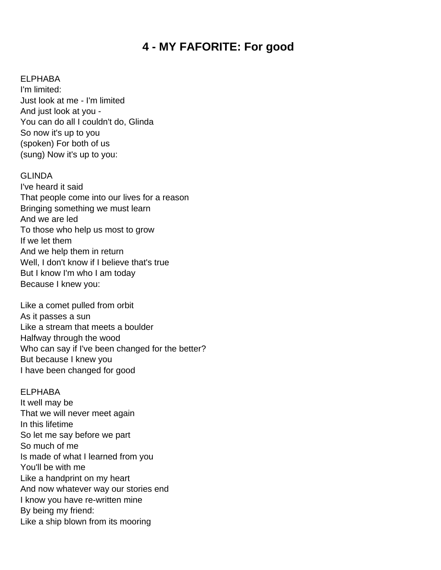### **4 - MY FAFORITE: For good**

#### <span id="page-5-0"></span>ELPHABA

I'm limited: Just look at me - I'm limited And just look at you - You can do all I couldn't do, Glinda So now it's up to you (spoken) For both of us (sung) Now it's up to you:

#### **GLINDA**

I've heard it said That people come into our lives for a reason Bringing something we must learn And we are led To those who help us most to grow If we let them And we help them in return Well, I don't know if I believe that's true But I know I'm who I am today Because I knew you:

Like a comet pulled from orbit As it passes a sun Like a stream that meets a boulder Halfway through the wood Who can say if I've been changed for the better? But because I knew you I have been changed for good

#### ELPHABA

It well may be That we will never meet again In this lifetime So let me say before we part So much of me Is made of what I learned from you You'll be with me Like a handprint on my heart And now whatever way our stories end I know you have re-written mine By being my friend: Like a ship blown from its mooring